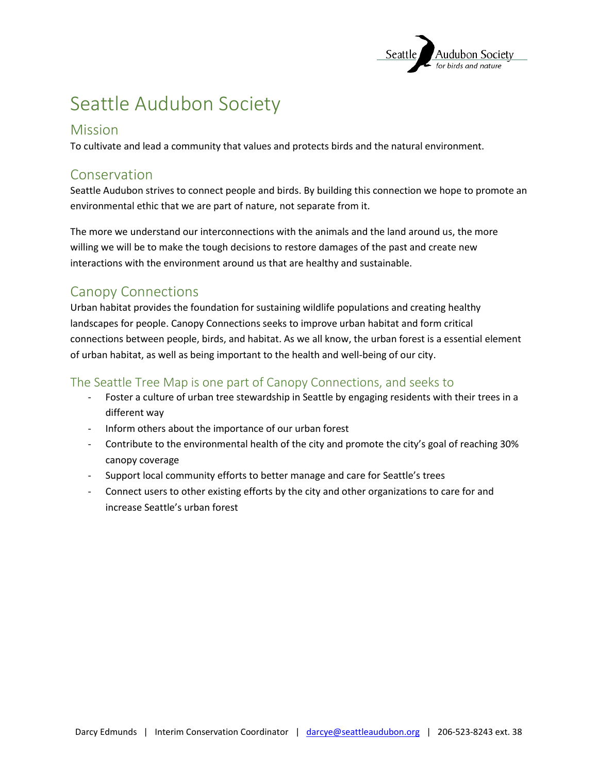

# Seattle Audubon Society

#### Mission

To cultivate and lead a community that values and protects birds and the natural environment.

### Conservation

Seattle Audubon strives to connect people and birds. By building this connection we hope to promote an environmental ethic that we are part of nature, not separate from it.

The more we understand our interconnections with the animals and the land around us, the more willing we will be to make the tough decisions to restore damages of the past and create new interactions with the environment around us that are healthy and sustainable.

### Canopy Connections

Urban habitat provides the foundation for sustaining wildlife populations and creating healthy landscapes for people. Canopy Connections seeks to improve urban habitat and form critical connections between people, birds, and habitat. As we all know, the urban forest is a essential element of urban habitat, as well as being important to the health and well-being of our city.

#### The Seattle Tree Map is one part of Canopy Connections, and seeks to

- Foster a culture of urban tree stewardship in Seattle by engaging residents with their trees in a different way
- Inform others about the importance of our urban forest
- Contribute to the environmental health of the city and promote the city's goal of reaching 30% canopy coverage
- Support local community efforts to better manage and care for Seattle's trees
- Connect users to other existing efforts by the city and other organizations to care for and increase Seattle's urban forest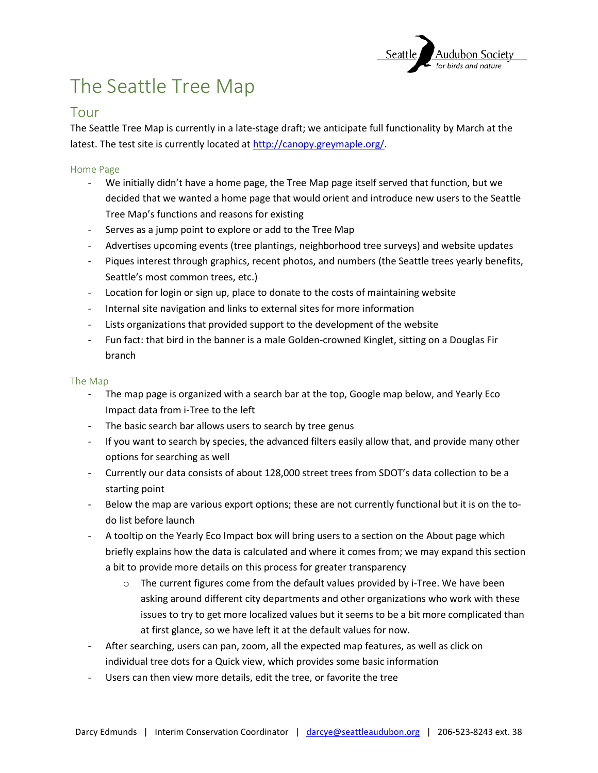

# The Seattle Tree Map

#### Tour

The Seattle Tree Map is currently in a late-stage draft; we anticipate full functionality by March at the latest. The test site is currently located at [http://canopy.greymaple.org/.](http://canopy.greymaple.org/)

#### Home Page

- We initially didn't have a home page, the Tree Map page itself served that function, but we decided that we wanted a home page that would orient and introduce new users to the Seattle Tree Map's functions and reasons for existing
- Serves as a jump point to explore or add to the Tree Map
- Advertises upcoming events (tree plantings, neighborhood tree surveys) and website updates
- Piques interest through graphics, recent photos, and numbers (the Seattle trees yearly benefits, Seattle's most common trees, etc.)
- Location for login or sign up, place to donate to the costs of maintaining website
- Internal site navigation and links to external sites for more information
- Lists organizations that provided support to the development of the website
- Fun fact: that bird in the banner is a male Golden-crowned Kinglet, sitting on a Douglas Fir branch

#### The Map

- The map page is organized with a search bar at the top, Google map below, and Yearly Eco Impact data from i-Tree to the left
- The basic search bar allows users to search by tree genus
- If you want to search by species, the advanced filters easily allow that, and provide many other options for searching as well
- Currently our data consists of about 128,000 street trees from SDOT's data collection to be a starting point
- Below the map are various export options; these are not currently functional but it is on the todo list before launch
- A tooltip on the Yearly Eco Impact box will bring users to a section on the About page which briefly explains how the data is calculated and where it comes from; we may expand this section a bit to provide more details on this process for greater transparency
	- $\circ$  The current figures come from the default values provided by i-Tree. We have been asking around different city departments and other organizations who work with these issues to try to get more localized values but it seems to be a bit more complicated than at first glance, so we have left it at the default values for now.
- After searching, users can pan, zoom, all the expected map features, as well as click on individual tree dots for a Quick view, which provides some basic information
- Users can then view more details, edit the tree, or favorite the tree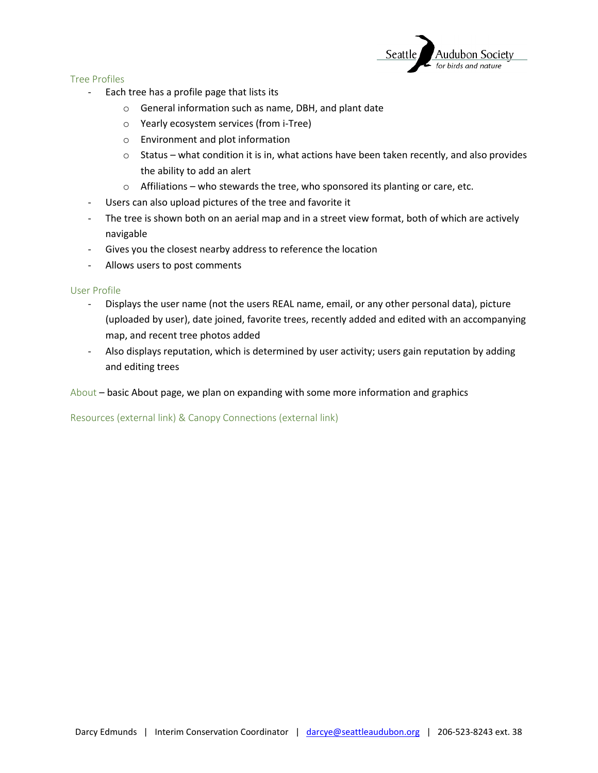

Tree Profiles

- Each tree has a profile page that lists its
	- o General information such as name, DBH, and plant date
	- o Yearly ecosystem services (from i-Tree)
	- o Environment and plot information
	- o Status what condition it is in, what actions have been taken recently, and also provides the ability to add an alert
	- $\circ$  Affiliations who stewards the tree, who sponsored its planting or care, etc.
- Users can also upload pictures of the tree and favorite it
- The tree is shown both on an aerial map and in a street view format, both of which are actively navigable
- Gives you the closest nearby address to reference the location
- Allows users to post comments

User Profile

- Displays the user name (not the users REAL name, email, or any other personal data), picture (uploaded by user), date joined, favorite trees, recently added and edited with an accompanying map, and recent tree photos added
- Also displays reputation, which is determined by user activity; users gain reputation by adding and editing trees

About – basic About page, we plan on expanding with some more information and graphics

Resources (external link) & Canopy Connections (external link)